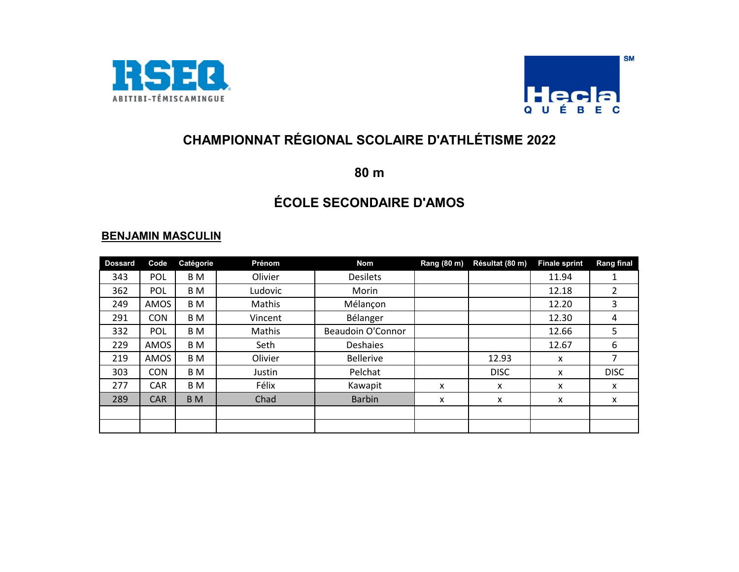



**80 m**

# **ÉCOLE SECONDAIRE D'AMOS**

| <b>Dossard</b> | Code       | Catégorie      | Prénom  | <b>Nom</b>               | Rang (80 m) | Résultat (80 m) | <b>Finale sprint</b> | <b>Rang final</b> |
|----------------|------------|----------------|---------|--------------------------|-------------|-----------------|----------------------|-------------------|
| 343            | <b>POL</b> | B M            | Olivier | <b>Desilets</b>          |             |                 | 11.94                | 1                 |
| 362            | <b>POL</b> | B M            | Ludovic | Morin                    |             |                 | 12.18                |                   |
| 249            | AMOS       | B M            | Mathis  | Mélançon                 |             |                 | 12.20                | 3                 |
| 291            | <b>CON</b> | B <sub>M</sub> | Vincent | Bélanger                 |             |                 | 12.30                | 4                 |
| 332            | <b>POL</b> | B M            | Mathis  | <b>Beaudoin O'Connor</b> |             |                 | 12.66                | 5.                |
| 229            | AMOS       | B M            | Seth    | Deshaies                 |             |                 | 12.67                | 6                 |
| 219            | AMOS       | B M            | Olivier | <b>Bellerive</b>         |             | 12.93           | X                    |                   |
| 303            | <b>CON</b> | B M            | Justin  | Pelchat                  |             | <b>DISC</b>     | x                    | <b>DISC</b>       |
| 277            | <b>CAR</b> | B M            | Félix   | Kawapit                  | x           | $\mathsf{x}$    | X                    | X                 |
| 289            | <b>CAR</b> | B <sub>M</sub> | Chad    | <b>Barbin</b>            | x           | x               | X                    | X                 |
|                |            |                |         |                          |             |                 |                      |                   |
|                |            |                |         |                          |             |                 |                      |                   |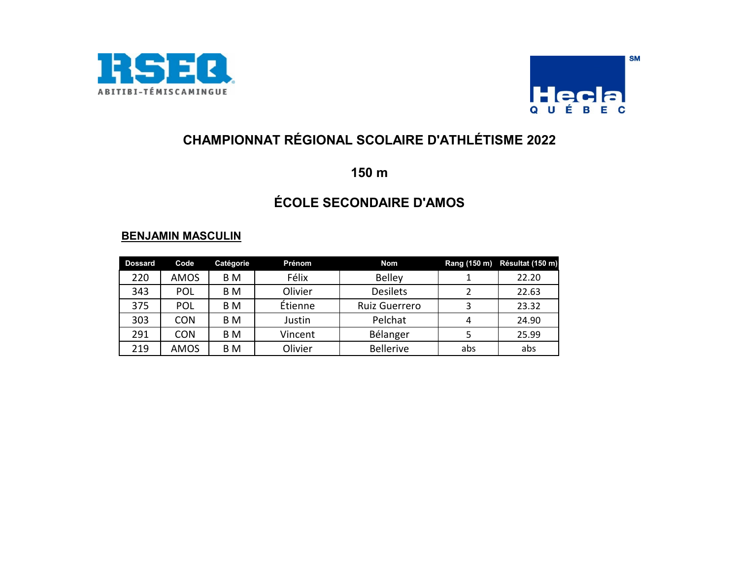



**150 m**

# **ÉCOLE SECONDAIRE D'AMOS**

| <b>Dossard</b> | Code        | Catégorie | Prénom  | Nom              |     | Rang (150 m) Résultat (150 m) |
|----------------|-------------|-----------|---------|------------------|-----|-------------------------------|
| 220            | <b>AMOS</b> | B M       | Félix   | <b>Belley</b>    |     | 22.20                         |
| 343            | POL         | B M       | Olivier | <b>Desilets</b>  |     | 22.63                         |
| 375            | POL         | B M       | Étienne | Ruiz Guerrero    |     | 23.32                         |
| 303            | <b>CON</b>  | B M       | Justin  | Pelchat          |     | 24.90                         |
| 291            | <b>CON</b>  | B M       | Vincent | Bélanger         |     | 25.99                         |
| 219            | <b>AMOS</b> | B M       | Olivier | <b>Bellerive</b> | abs | abs                           |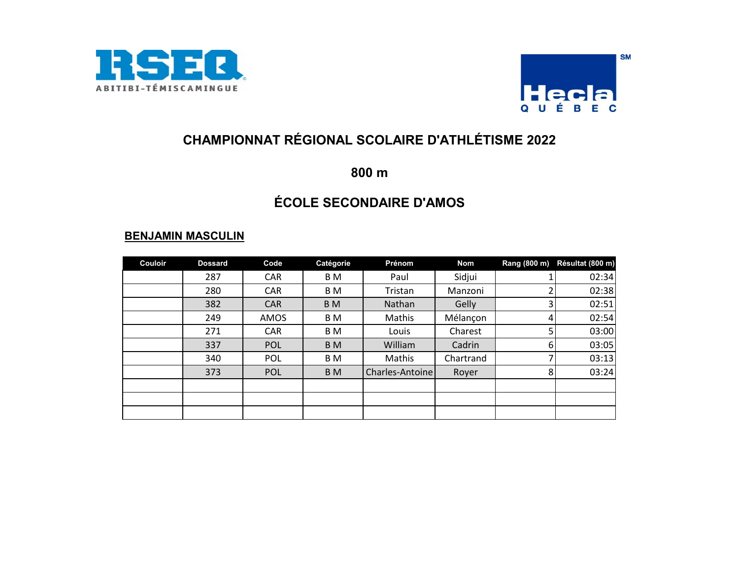



**800 m**

## **ÉCOLE SECONDAIRE D'AMOS**

| <b>Couloir</b> | <b>Dossard</b> | Code       | Catégorie      | Prénom          | Nom       | Rang (800 m) | Résultat (800 m) |
|----------------|----------------|------------|----------------|-----------------|-----------|--------------|------------------|
|                | 287            | <b>CAR</b> | B M            | Paul            | Sidjui    |              | 02:34            |
|                | 280            | <b>CAR</b> | B M            | Tristan         | Manzoni   |              | 02:38            |
|                | 382            | <b>CAR</b> | B <sub>M</sub> | Nathan          | Gelly     |              | 02:51            |
|                | 249            | AMOS       | B M            | Mathis          | Mélançon  | 4            | 02:54            |
|                | 271            | <b>CAR</b> | B M            | Louis           | Charest   | 5            | 03:00            |
|                | 337            | <b>POL</b> | B <sub>M</sub> | William         | Cadrin    | 6            | 03:05            |
|                | 340            | <b>POL</b> | B M            | Mathis          | Chartrand |              | 03:13            |
|                | 373            | <b>POL</b> | B <sub>M</sub> | Charles-Antoine | Royer     | 8            | 03:24            |
|                |                |            |                |                 |           |              |                  |
|                |                |            |                |                 |           |              |                  |
|                |                |            |                |                 |           |              |                  |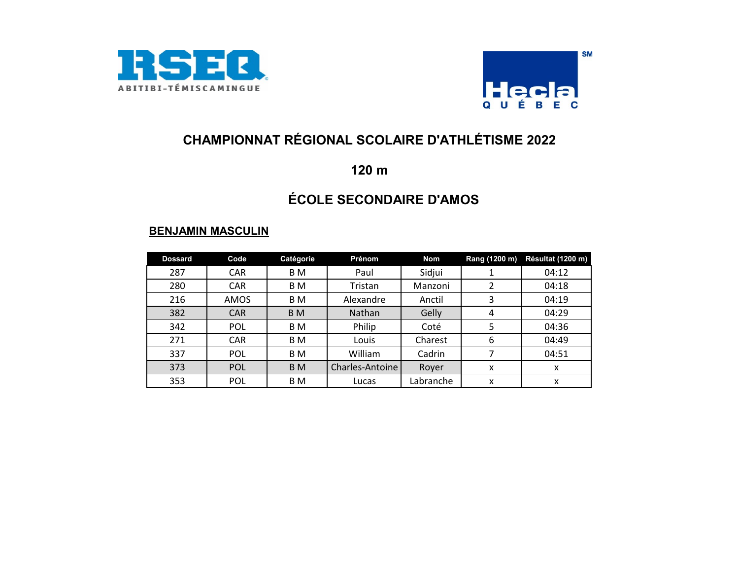



### **120 m**

## **ÉCOLE SECONDAIRE D'AMOS**

| <b>Dossard</b> | Code       | Catégorie      | Prénom          | <b>Nom</b> | Rang (1200 m) | Résultat (1200 m) |
|----------------|------------|----------------|-----------------|------------|---------------|-------------------|
| 287            | <b>CAR</b> | B M            | Paul            | Sidjui     |               | 04:12             |
| 280            | <b>CAR</b> | B M            | Tristan         | Manzoni    |               | 04:18             |
| 216            | AMOS       | B <sub>M</sub> | Alexandre       | Anctil     | 3             | 04:19             |
| 382            | <b>CAR</b> | B <sub>M</sub> | Nathan          | Gelly      | 4             | 04:29             |
| 342            | <b>POL</b> | B M            | Philip          | Coté       | 5             | 04:36             |
| 271            | <b>CAR</b> | B M            | Louis           | Charest    | 6             | 04:49             |
| 337            | <b>POL</b> | B <sub>M</sub> | William         | Cadrin     |               | 04:51             |
| 373            | <b>POL</b> | B <sub>M</sub> | Charles-Antoine | Royer      | x             | x                 |
| 353            | <b>POL</b> | B <sub>M</sub> | Lucas           | Labranche  | x             | x                 |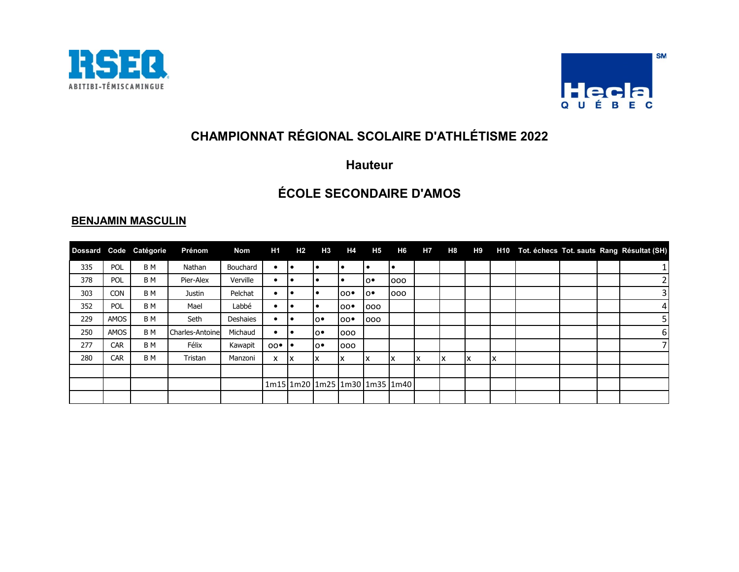



#### **Hauteur**

### **ÉCOLE SECONDAIRE D'AMOS**

| <b>Dossard</b> |            | Code Catégorie | Prénom          | Nom      | H1             | <b>H2</b> | H3  | H4             | H <sub>5</sub> | H6                            | H7 | <b>H8</b> | H9 |    |  | H10 Tot. échecs Tot. sauts Rang Résultat (SH) |
|----------------|------------|----------------|-----------------|----------|----------------|-----------|-----|----------------|----------------|-------------------------------|----|-----------|----|----|--|-----------------------------------------------|
| 335            | POL        | B M            | Nathan          | Bouchard | $\bullet$      | ı٠        |     | $\bullet$      |                | lo                            |    |           |    |    |  | 1 <sup>1</sup>                                |
| 378            | POL        | B M            | Pier-Alex       | Verville |                | l e       |     |                | lo∙            | 000                           |    |           |    |    |  | $\overline{2}$                                |
| 303            | <b>CON</b> | B M            | Justin          | Pelchat  |                | I e       |     | $00^{\bullet}$ | lo∙            | 000                           |    |           |    |    |  | $\overline{\mathbf{3}}$                       |
| 352            | POL        | B M            | Mael            | Labbé    | $\bullet$      | ı٠        |     | 00             | 000            |                               |    |           |    |    |  | 4 <sup>1</sup>                                |
| 229            | AMOS       | B M            | Seth            | Deshaies |                |           | lo∙ | 00             | 000            |                               |    |           |    |    |  | 5 <sup>1</sup>                                |
| 250            | AMOS       | B <sub>M</sub> | Charles-Antoine | Michaud  |                | l e       | lo∙ | 000            |                |                               |    |           |    |    |  | $6 \mid$                                      |
| 277            | <b>CAR</b> | B M            | Félix           | Kawapit  | $00^{\bullet}$ |           | lo∙ | 000            |                |                               |    |           |    |    |  | 71                                            |
| 280            | <b>CAR</b> | B M            | Tristan         | Manzoni  | x              | Iχ        | x   | X              | x              | Ιx                            | 1x | ΙX        | X  | IX |  |                                               |
|                |            |                |                 |          |                |           |     |                |                |                               |    |           |    |    |  |                                               |
|                |            |                |                 |          |                |           |     |                |                | 1m15 1m20 1m25 1m30 1m35 1m40 |    |           |    |    |  |                                               |
|                |            |                |                 |          |                |           |     |                |                |                               |    |           |    |    |  |                                               |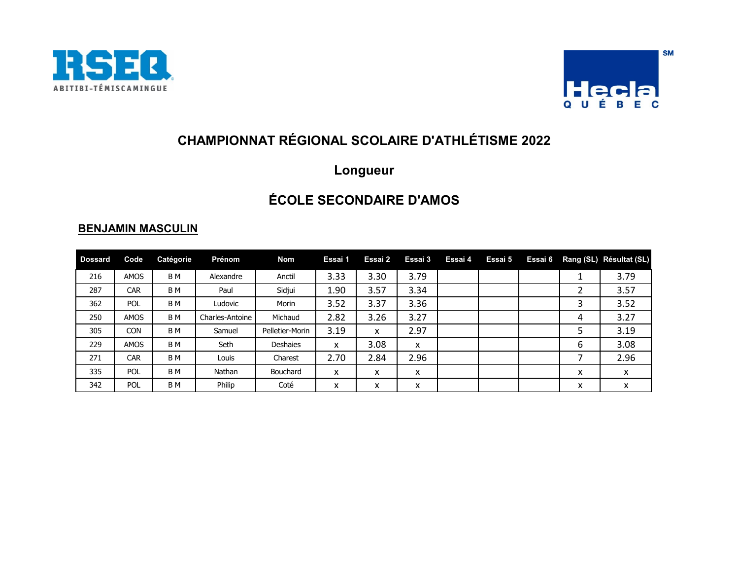



## **Longueur**

### **ÉCOLE SECONDAIRE D'AMOS**

| <b>Dossard</b> | Code        | Catégorie | Prénom          | <b>Nom</b>      | Essai 1 | Essai 2 | Essai 3 | Essai 4 | Essai 5 | Essai 6 |        | Rang (SL) Résultat (SL) |
|----------------|-------------|-----------|-----------------|-----------------|---------|---------|---------|---------|---------|---------|--------|-------------------------|
| 216            | AMOS        | B M       | Alexandre       | Anctil          | 3.33    | 3.30    | 3.79    |         |         |         | ᅩ      | 3.79                    |
| 287            | <b>CAR</b>  | B M       | Paul            | Sidjui          | 1.90    | 3.57    | 3.34    |         |         |         | ำ<br>∠ | 3.57                    |
| 362            | <b>POL</b>  | B M       | Ludovic         | Morin           | 3.52    | 3.37    | 3.36    |         |         |         | 3      | 3.52                    |
| 250            | <b>AMOS</b> | B M       | Charles-Antoine | Michaud         | 2.82    | 3.26    | 3.27    |         |         |         | 4      | 3.27                    |
| 305            | <b>CON</b>  | B M       | Samuel          | Pelletier-Morin | 3.19    | X       | 2.97    |         |         |         | 5      | 3.19                    |
| 229            | <b>AMOS</b> | B M       | Seth            | Deshaies        | x       | 3.08    | x       |         |         |         | 6      | 3.08                    |
| 271            | <b>CAR</b>  | B M       | Louis           | Charest         | 2.70    | 2.84    | 2.96    |         |         |         |        | 2.96                    |
| 335            | <b>POL</b>  | B M       | Nathan          | Bouchard        | x       | x       | x       |         |         |         | x      | X                       |
| 342            | <b>POL</b>  | B M       | Philip          | Coté            | x       | x       | x       |         |         |         | x      | x                       |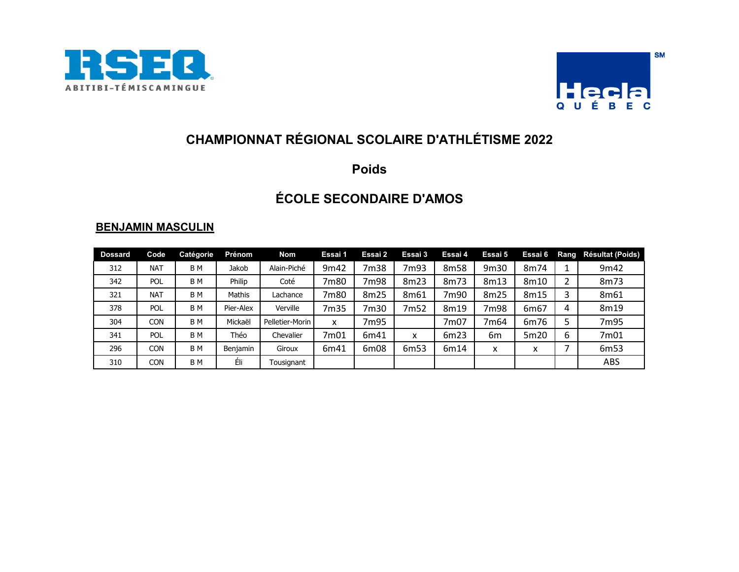



### **Poids**

## **ÉCOLE SECONDAIRE D'AMOS**

| <b>Dossard</b> | Code       | Catégorie      | Prénom    | <b>Nom</b>      | Essai 1 | Essai 2 | Essai 3 | Essai 4 | Essai 5 | Essai 6           | Rang | Résultat (Poids) |
|----------------|------------|----------------|-----------|-----------------|---------|---------|---------|---------|---------|-------------------|------|------------------|
| 312            | <b>NAT</b> | B <sub>M</sub> | Jakob     | Alain-Piché     | 9m42    | 7m38    | 7m93    | 8m58    | 9m30    | 8m74              |      | 9m42             |
| 342            | POL        | B <sub>M</sub> | Philip    | Coté            | 7m80    | 7m98    | 8m23    | 8m73    | 8m13    | 8m10              | 2    | 8m73             |
| 321            | <b>NAT</b> | B <sub>M</sub> | Mathis    | Lachance        | 7m80    | 8m25    | 8m61    | 7m90    | 8m25    | 8m15              | 3    | 8m61             |
| 378            | <b>POL</b> | B <sub>M</sub> | Pier-Alex | Verville        | 7m35    | 7m30    | 7m52    | 8m19    | 7m98    | 6m67              | 4    | 8m19             |
| 304            | CON        | B M            | Mickaël   | Pelletier-Morin | x       | 7m95    |         | 7m07    | 7m64    | 6m76              | 5    | 7m95             |
| 341            | <b>POL</b> | B <sub>M</sub> | Théo      | Chevalier       | 7m01    | 6m41    | X       | 6m23    | 6m      | 5m20              | 6    | 7m01             |
| 296            | CON        | B M            | Benjamin  | Giroux          | 6m41    | 6m08    | 6m53    | 6m14    | x       | $\checkmark$<br>л |      | 6m53             |
| 310            | CON        | B <sub>M</sub> | Éli       | Tousignant      |         |         |         |         |         |                   |      | ABS              |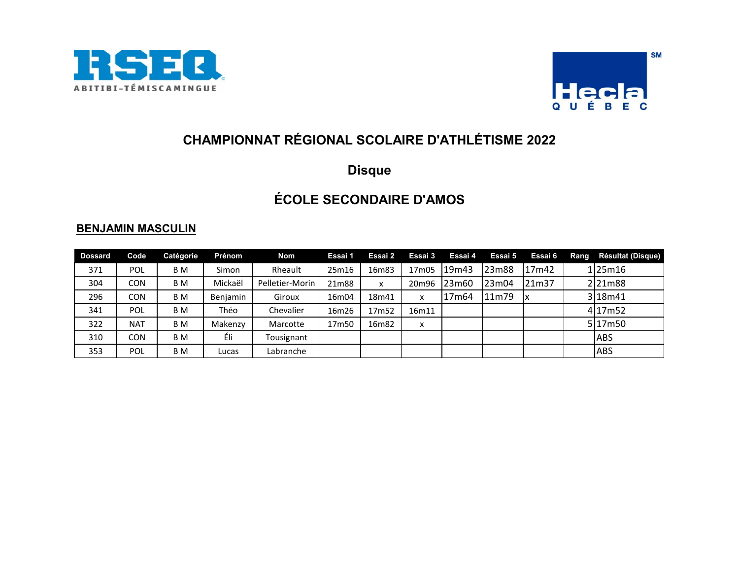



### **Disque**

# **ÉCOLE SECONDAIRE D'AMOS**

| <b>Dossard</b> | Code       | Catégorie | Prénom   | Nom             | Essai 1 | Essai 2 | Essai 3 | Essai 4           | Essai 5 | Essai 6 | Rang | Résultat (Disque) |
|----------------|------------|-----------|----------|-----------------|---------|---------|---------|-------------------|---------|---------|------|-------------------|
| 371            | POL        | B M       | Simon    | Rheault         | 25m16   | 16m83   | 17m05   | 19 <sub>m43</sub> | 23m88   | 17m42   |      | 125m16            |
| 304            | <b>CON</b> | B M       | Mickaël  | Pelletier-Morin | 21m88   | x       | 20m96   | 23m60             | 23m04   | 21m37   |      | 221m88            |
| 296            | CON        | B M       | Benjamin | Giroux          | 16m04   | 18m41   | x       | 17m64             | 11m79   | IΧ      |      | 318m41            |
| 341            | <b>POL</b> | B M       | Théo     | Chevalier       | 16m26   | 17m52   | 16m11   |                   |         |         |      | 4 17m52           |
| 322            | <b>NAT</b> | B M       | Makenzy  | Marcotte        | 17m50   | 16m82   | x       |                   |         |         |      | 517m50            |
| 310            | <b>CON</b> | B M       | Éli      | Tousignant      |         |         |         |                   |         |         |      | <b>ABS</b>        |
| 353            | POL        | B M       | Lucas    | Labranche       |         |         |         |                   |         |         |      | <b>ABS</b>        |